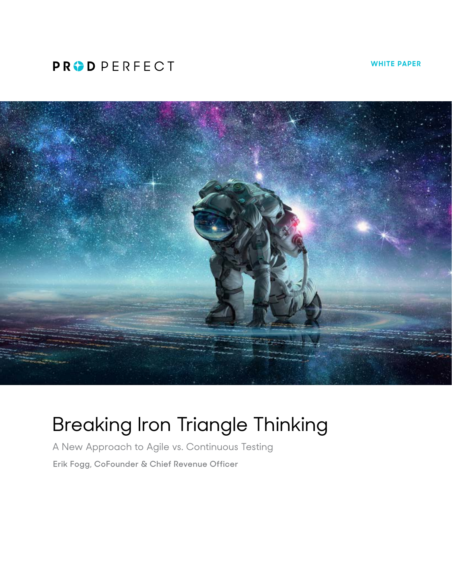## **PRODPERFECT**

**WHITE PAPER**



# Breaking Iron Triangle Thinking

A New Approach to Agile vs. Continuous Testing **Erik Fogg, CoFounder & Chief Revenue Officer**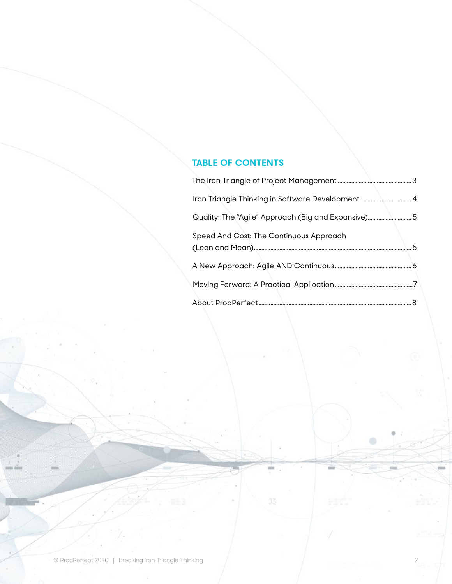### **TABLE OF CONTENTS**

| Iron Triangle Thinking in Software Development 4   |  |
|----------------------------------------------------|--|
| Quality: The "Agile" Approach (Big and Expansive)5 |  |
| Speed And Cost: The Continuous Approach            |  |
|                                                    |  |
|                                                    |  |
|                                                    |  |
|                                                    |  |

 $\qquad \qquad \circ$ 

mi

 $J\overline{S}$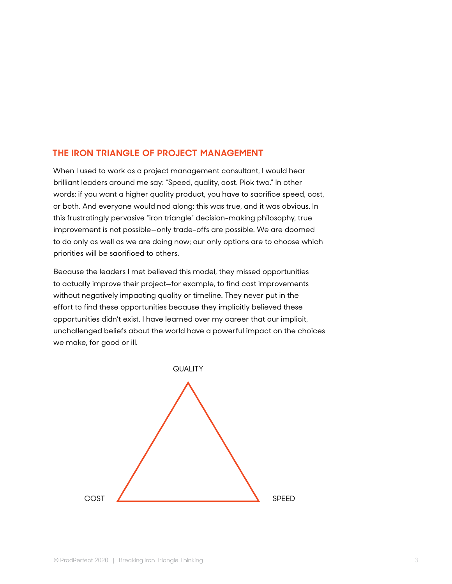#### <span id="page-2-0"></span>**THE IRON TRIANGLE OF PROJECT MANAGEMENT**

When I used to work as a project management consultant, I would hear brilliant leaders around me say: "Speed, quality, cost. Pick two." In other words: if you want a higher quality product, you have to sacrifice speed, cost, or both. And everyone would nod along: this was true, and it was obvious. In this frustratingly pervasive "iron triangle" decision-making philosophy, true improvement is not possible—only trade-offs are possible. We are doomed to do only as well as we are doing now; our only options are to choose which priorities will be sacrificed to others.

Because the leaders I met believed this model, they missed opportunities to actually improve their project—for example, to find cost improvements without negatively impacting quality or timeline. They never put in the effort to find these opportunities because they implicitly believed these opportunities didn't exist. I have learned over my career that our implicit, unchallenged beliefs about the world have a powerful impact on the choices we make, for good or ill.

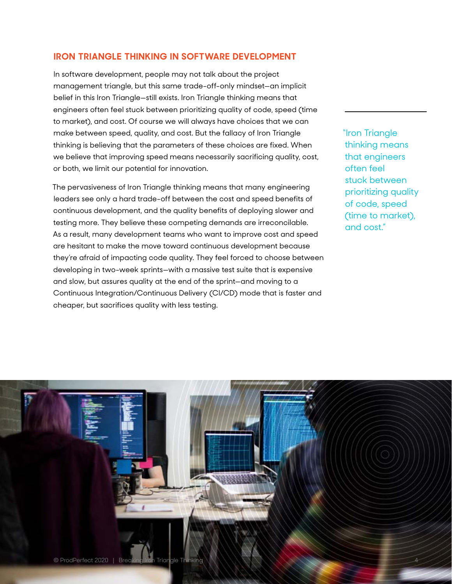#### <span id="page-3-0"></span>**IRON TRIANGLE THINKING IN SOFTWARE DEVELOPMENT**

In software development, people may not talk about the project management triangle, but this same trade-off-only mindset—an implicit belief in this Iron Triangle—still exists. Iron Triangle thinking means that engineers often feel stuck between prioritizing quality of code, speed (time to market), and cost. Of course we will always have choices that we can make between speed, quality, and cost. But the fallacy of Iron Triangle thinking is believing that the parameters of these choices are fixed. When we believe that improving speed means necessarily sacrificing quality, cost, or both, we limit our potential for innovation.

The pervasiveness of Iron Triangle thinking means that many engineering leaders see only a hard trade-off between the cost and speed benefits of continuous development, and the quality benefits of deploying slower and testing more. They believe these competing demands are irreconcilable. As a result, many development teams who want to improve cost and speed are hesitant to make the move toward continuous development because they're afraid of impacting code quality. They feel forced to choose between developing in two-week sprints—with a massive test suite that is expensive and slow, but assures quality at the end of the sprint—and moving to a Continuous Integration/Continuous Delivery (CI/CD) mode that is faster and cheaper, but sacrifices quality with less testing.

"Iron Triangle thinking means that engineers often feel stuck between prioritizing quality of code, speed (time to market), and cost."

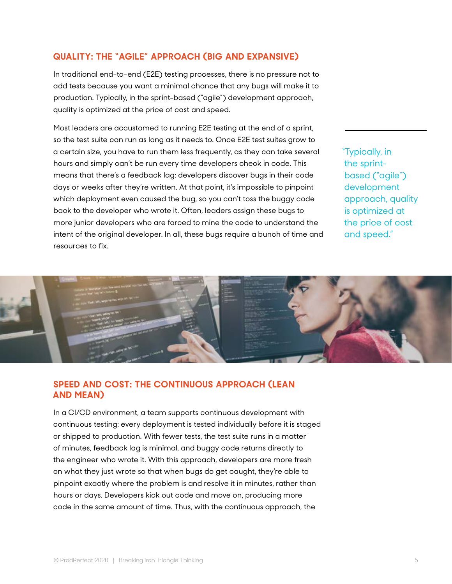#### <span id="page-4-0"></span>**QUALITY: THE "AGILE" APPROACH (BIG AND EXPANSIVE)**

In traditional end-to-end (E2E) testing processes, there is no pressure not to add tests because you want a minimal chance that any bugs will make it to production. Typically, in the sprint-based ("agile") development approach, quality is optimized at the price of cost and speed.

Most leaders are accustomed to running E2E testing at the end of a sprint, so the test suite can run as long as it needs to. Once E2E test suites grow to a certain size, you have to run them less frequently, as they can take several hours and simply can't be run every time developers check in code. This means that there's a feedback lag: developers discover bugs in their code days or weeks after they're written. At that point, it's impossible to pinpoint which deployment even caused the bug, so you can't toss the buggy code back to the developer who wrote it. Often, leaders assign these bugs to more junior developers who are forced to mine the code to understand the intent of the original developer. In all, these bugs require a bunch of time and resources to fix.

"Typically, in the sprintbased ("agile") development approach, quality is optimized at the price of cost and speed."



#### **SPEED AND COST: THE CONTINUOUS APPROACH (LEAN AND MEAN)**

In a CI/CD environment, a team supports continuous development with continuous testing: every deployment is tested individually before it is staged or shipped to production. With fewer tests, the test suite runs in a matter of minutes, feedback lag is minimal, and buggy code returns directly to the engineer who wrote it. With this approach, developers are more fresh on what they just wrote so that when bugs do get caught, they're able to pinpoint exactly where the problem is and resolve it in minutes, rather than hours or days. Developers kick out code and move on, producing more code in the same amount of time. Thus, with the continuous approach, the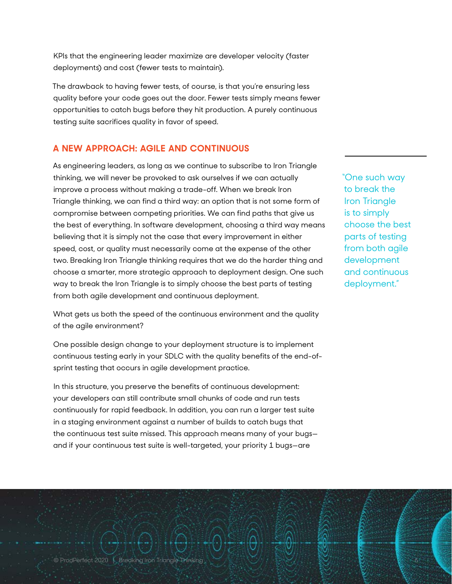<span id="page-5-0"></span>KPIs that the engineering leader maximize are developer velocity (faster deployments) and cost (fewer tests to maintain).

The drawback to having fewer tests, of course, is that you're ensuring less quality before your code goes out the door. Fewer tests simply means fewer opportunities to catch bugs before they hit production. A purely continuous testing suite sacrifices quality in favor of speed.

#### **A NEW APPROACH: AGILE AND CONTINUOUS**

As engineering leaders, as long as we continue to subscribe to Iron Triangle thinking, we will never be provoked to ask ourselves if we can actually improve a process without making a trade-off. When we break Iron Triangle thinking, we can find a third way: an option that is not some form of compromise between competing priorities. We can find paths that give us the best of everything. In software development, choosing a third way means believing that it is simply not the case that every improvement in either speed, cost, or quality must necessarily come at the expense of the other two. Breaking Iron Triangle thinking requires that we do the harder thing and choose a smarter, more strategic approach to deployment design. One such way to break the Iron Triangle is to simply choose the best parts of testing from both agile development and continuous deployment.

What gets us both the speed of the continuous environment and the quality of the agile environment?

One possible design change to your deployment structure is to implement continuous testing early in your SDLC with the quality benefits of the end-ofsprint testing that occurs in agile development practice.

In this structure, you preserve the benefits of continuous development: your developers can still contribute small chunks of code and run tests continuously for rapid feedback. In addition, you can run a larger test suite in a staging environment against a number of builds to catch bugs that the continuous test suite missed. This approach means many of your bugs and if your continuous test suite is well-targeted, your priority 1 bugs—are

"One such way to break the Iron Triangle is to simply choose the best parts of testing from both agile development and continuous deployment."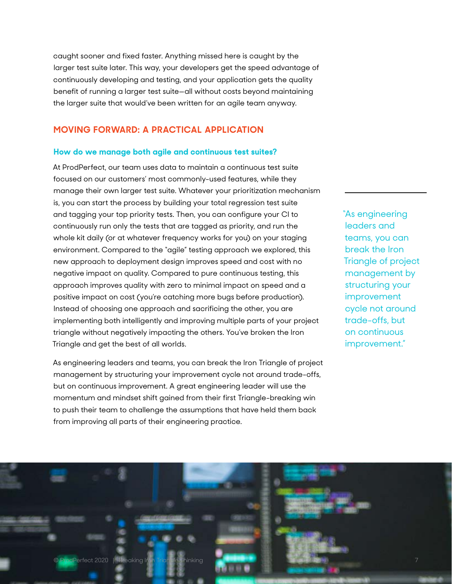<span id="page-6-0"></span>caught sooner and fixed faster. Anything missed here is caught by the larger test suite later. This way, your developers get the speed advantage of continuously developing and testing, and your application gets the quality benefit of running a larger test suite—all without costs beyond maintaining the larger suite that would've been written for an agile team anyway.

#### **MOVING FORWARD: A PRACTICAL APPLICATION**

#### **How do we manage both agile and continuous test suites?**

At ProdPerfect, our team uses data to maintain a continuous test suite focused on our customers' most commonly-used features, while they manage their own larger test suite. Whatever your prioritization mechanism is, you can start the process by building your total regression test suite and tagging your top priority tests. Then, you can configure your CI to continuously run only the tests that are tagged as priority, and run the whole kit daily (or at whatever frequency works for you) on your staging environment. Compared to the "agile" testing approach we explored, this new approach to deployment design improves speed and cost with no negative impact on quality. Compared to pure continuous testing, this approach improves quality with zero to minimal impact on speed and a positive impact on cost (you're catching more bugs before production). Instead of choosing one approach and sacrificing the other, you are implementing both intelligently and improving multiple parts of your project triangle without negatively impacting the others. You've broken the Iron Triangle and get the best of all worlds.

As engineering leaders and teams, you can break the Iron Triangle of project management by structuring your improvement cycle not around trade-offs, but on continuous improvement. A great engineering leader will use the momentum and mindset shift gained from their first Triangle-breaking win to push their team to challenge the assumptions that have held them back from improving all parts of their engineering practice.

"As engineering leaders and teams, you can break the Iron Triangle of project management by structuring your improvement cycle not around trade-offs, but on continuous improvement."